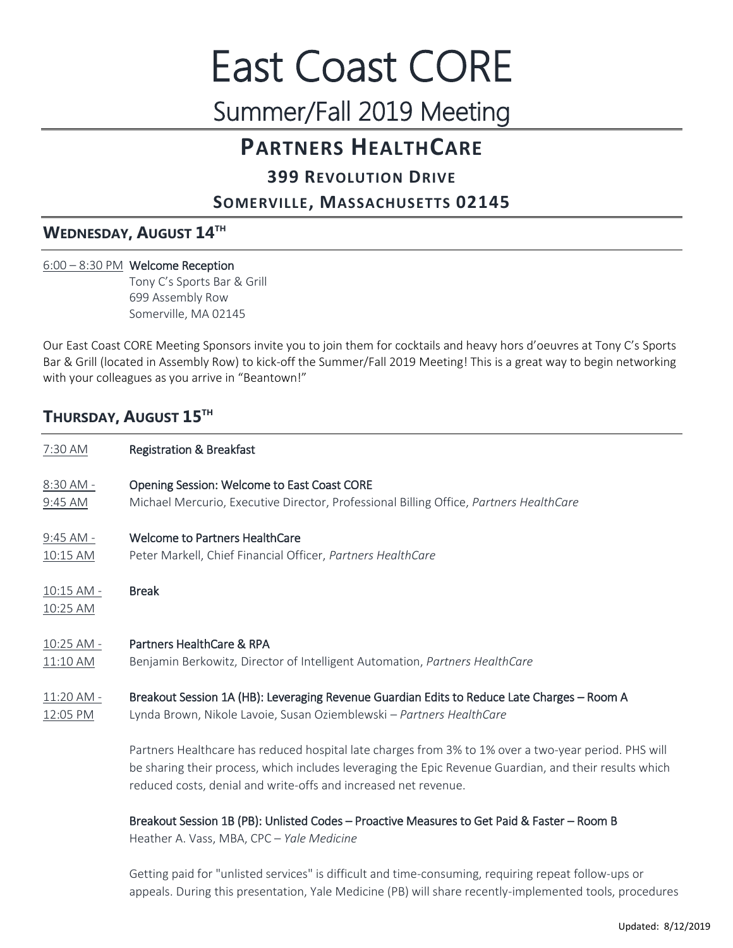# East Coast CORE Summer/Fall 2019 Meeting

# **PARTNERS HEALTHCARE**

## **399 REVOLUTION DRIVE**

## **SOMERVILLE, MASSACHUSETTS 02145**

## **WEDNESDAY, AUGUST 14TH**

## 6:00 – 8:30 PM Welcome Reception

 Tony C's Sports Bar & Grill 699 Assembly Row Somerville, MA 02145

Our East Coast CORE Meeting Sponsors invite you to join them for cocktails and heavy hors d'oeuvres at Tony C's Sports Bar & Grill (located in Assembly Row) to kick-off the Summer/Fall 2019 Meeting! This is a great way to begin networking with your colleagues as you arrive in "Beantown!"

## **THURSDAY, AUGUST 15TH**

| 7:30 AM                | <b>Registration &amp; Breakfast</b>                                                                                                                                                                                                                                               |
|------------------------|-----------------------------------------------------------------------------------------------------------------------------------------------------------------------------------------------------------------------------------------------------------------------------------|
| 8:30 AM -              | Opening Session: Welcome to East Coast CORE                                                                                                                                                                                                                                       |
| 9:45 AM                | Michael Mercurio, Executive Director, Professional Billing Office, Partners HealthCare                                                                                                                                                                                            |
| $9:45$ AM -            | <b>Welcome to Partners HealthCare</b>                                                                                                                                                                                                                                             |
| 10:15 AM               | Peter Markell, Chief Financial Officer, Partners HealthCare                                                                                                                                                                                                                       |
| 10:15 AM -<br>10:25 AM | <b>Break</b>                                                                                                                                                                                                                                                                      |
| 10:25 AM -             | Partners HealthCare & RPA                                                                                                                                                                                                                                                         |
| 11:10 AM               | Benjamin Berkowitz, Director of Intelligent Automation, Partners HealthCare                                                                                                                                                                                                       |
| 11:20 AM -             | Breakout Session 1A (HB): Leveraging Revenue Guardian Edits to Reduce Late Charges - Room A                                                                                                                                                                                       |
| 12:05 PM               | Lynda Brown, Nikole Lavoie, Susan Oziemblewski - Partners HealthCare                                                                                                                                                                                                              |
|                        | Partners Healthcare has reduced hospital late charges from 3% to 1% over a two-year period. PHS will<br>be sharing their process, which includes leveraging the Epic Revenue Guardian, and their results which<br>reduced costs, denial and write-offs and increased net revenue. |
|                        | Breakout Session 1B (PB): Unlisted Codes - Proactive Measures to Get Paid & Faster - Room B<br>Heather A. Vass, MBA, CPC - Yale Medicine                                                                                                                                          |

Getting paid for "unlisted services" is difficult and time-consuming, requiring repeat follow-ups or appeals. During this presentation, Yale Medicine (PB) will share recently-implemented tools, procedures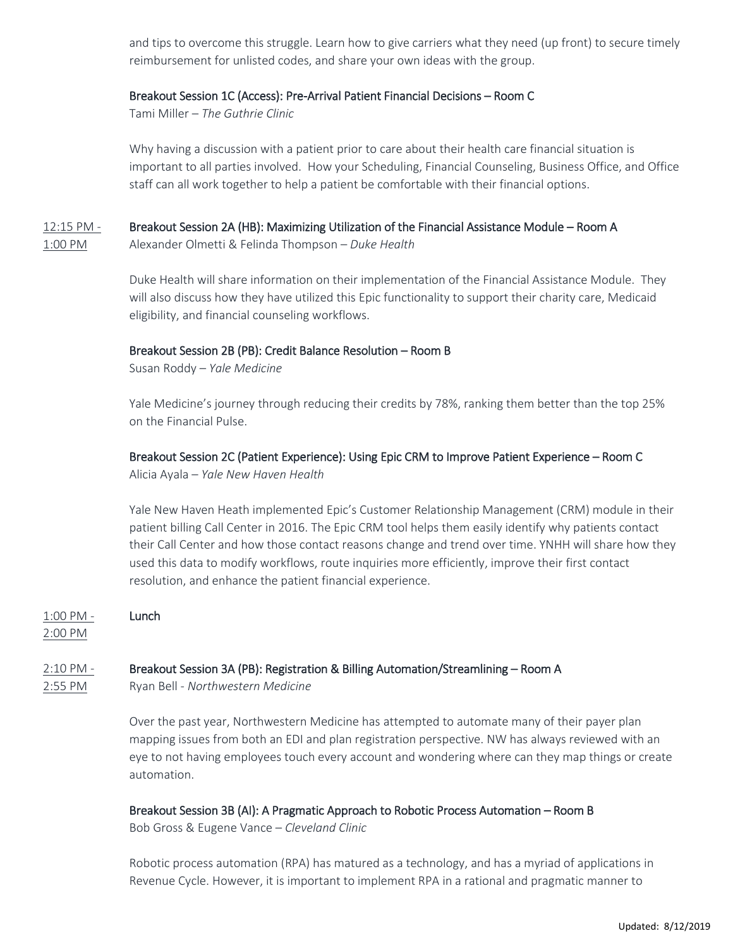and tips to overcome this struggle. Learn how to give carriers what they need (up front) to secure timely reimbursement for unlisted codes, and share your own ideas with the group.

#### Breakout Session 1C (Access): Pre-Arrival Patient Financial Decisions – Room C

Tami Miller – *The Guthrie Clinic*

Why having a discussion with a patient prior to care about their health care financial situation is important to all parties involved. How your Scheduling, Financial Counseling, Business Office, and Office staff can all work together to help a patient be comfortable with their financial options.

## 12:15 PM - Breakout Session 2A (HB): Maximizing Utilization of the Financial Assistance Module – Room A

1:00 PM Alexander Olmetti & Felinda Thompson – *Duke Health*

Duke Health will share information on their implementation of the Financial Assistance Module. They will also discuss how they have utilized this Epic functionality to support their charity care, Medicaid eligibility, and financial counseling workflows.

#### Breakout Session 2B (PB): Credit Balance Resolution – Room B

Susan Roddy – *Yale Medicine*

Yale Medicine's journey through reducing their credits by 78%, ranking them better than the top 25% on the Financial Pulse.

## Breakout Session 2C (Patient Experience): Using Epic CRM to Improve Patient Experience – Room C

Alicia Ayala – *Yale New Haven Health*

Yale New Haven Heath implemented Epic's Customer Relationship Management (CRM) module in their patient billing Call Center in 2016. The Epic CRM tool helps them easily identify why patients contact their Call Center and how those contact reasons change and trend over time. YNHH will share how they used this data to modify workflows, route inquiries more efficiently, improve their first contact resolution, and enhance the patient financial experience.

1:00 PM - Lunch

2:00 PM

## 2:10 PM - Breakout Session 3A (PB): Registration & Billing Automation/Streamlining – Room A

2:55 PM Ryan Bell - *Northwestern Medicine*

Over the past year, Northwestern Medicine has attempted to automate many of their payer plan mapping issues from both an EDI and plan registration perspective. NW has always reviewed with an eye to not having employees touch every account and wondering where can they map things or create automation.

## Breakout Session 3B (AI): A Pragmatic Approach to Robotic Process Automation – Room B

Bob Gross & Eugene Vance – *Cleveland Clinic*

Robotic process automation (RPA) has matured as a technology, and has a myriad of applications in Revenue Cycle. However, it is important to implement RPA in a rational and pragmatic manner to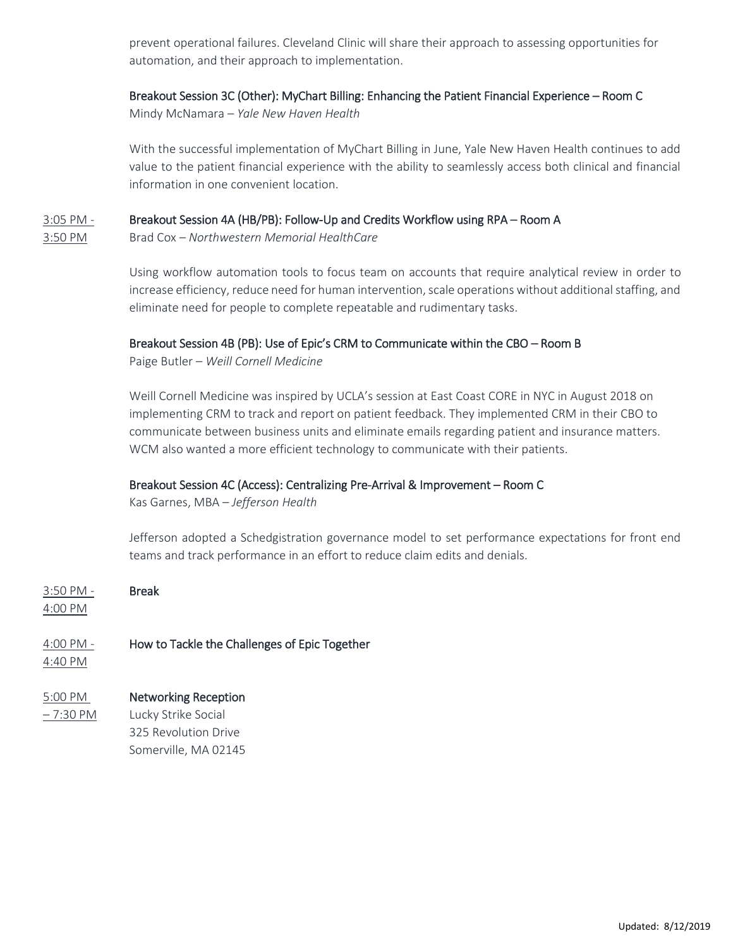prevent operational failures. Cleveland Clinic will share their approach to assessing opportunities for automation, and their approach to implementation.

#### Breakout Session 3C (Other): MyChart Billing: Enhancing the Patient Financial Experience – Room C

Mindy McNamara – *Yale New Haven Health*

With the successful implementation of MyChart Billing in June, Yale New Haven Health continues to add value to the patient financial experience with the ability to seamlessly access both clinical and financial information in one convenient location.

#### 3:05 PM - Breakout Session 4A (HB/PB): Follow-Up and Credits Workflow using RPA – Room A

3:50 PM Brad Cox – *Northwestern Memorial HealthCare*

Using workflow automation tools to focus team on accounts that require analytical review in order to increase efficiency, reduce need for human intervention, scale operations without additional staffing, and eliminate need for people to complete repeatable and rudimentary tasks.

#### Breakout Session 4B (PB): Use of Epic's CRM to Communicate within the CBO – Room B

Paige Butler – *Weill Cornell Medicine*

Weill Cornell Medicine was inspired by UCLA's session at East Coast CORE in NYC in August 2018 on implementing CRM to track and report on patient feedback. They implemented CRM in their CBO to communicate between business units and eliminate emails regarding patient and insurance matters. WCM also wanted a more efficient technology to communicate with their patients.

## Breakout Session 4C (Access): Centralizing Pre-Arrival & Improvement – Room C

Kas Garnes, MBA – *Jefferson Health*

Jefferson adopted a Schedgistration governance model to set performance expectations for front end teams and track performance in an effort to reduce claim edits and denials.

3:50 PM - Break 4:00 PM

## 4:00 PM - How to Tackle the Challenges of Epic Together

4:40 PM

## 5:00 PM Networking Reception

– 7:30 PM Lucky Strike Social 325 Revolution Drive Somerville, MA 02145